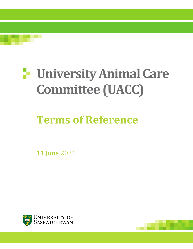

# **University Animal Care Committee (UACC)**

# **Terms of Reference**

11 June 2021



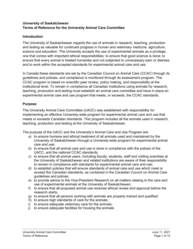## **University of Saskatchewan Terms of Reference for the University Animal Care Committee**

# **Introduction**

The University of Saskatchewan regards the use of animals in research, teaching, production and testing as valuable for continued progress in human and veterinary medicine, agriculture, science and education. The University accepts the use of experimental animals as a privilege, one that comes with important ethical responsibilities: to ensure that good science is done; to ensure that every animal is treated humanely and not subjected to unnecessary pain or distress; and to work within the accepted standards for experimental animal care and use.

In Canada these standards are set by the Canadian Council on Animal Care (CCAC) through its guidelines and policies, and compliance is monitored through its assessment program. The CCAC program is based on scientific peer review, policy making, and responsibility at the institutional level. To remain in compliance all Canadian institutions using animals for research, teaching, production and testing must establish an animal care committee and have in place an experimental animal care and use program that meets, or exceeds, the CCAC standards.

### **Purpose**

The University Animal Care Committee (UACC) was established with responsibility for implementing an effective University-wide program for experimental animal care and use that meets or exceeds Canadian standards. This program includes all the animals used in research, teaching, production and testing at the University of Saskatchewan.

The purpose of the UACC and the University's Animal Care and Use Program are:

- a) to ensure humane and ethical treatment of all animals used and maintained by the University of Saskatchewan through a University-wide program for experimental animal care and use;
- b) to ensure that all animal care and use is done in compliance with the polices of the UACC, and the national CCAC standards;
- c) to ensure that all animal users, including faculty, students, staff and visiting scientists at the University of Saskatchewan and related institutions are aware of their responsibility to remain in compliance with standards for experimental animal care and use;
- d) to establish policies that will ensure standards of animal care and use which meet or exceed the Canadian standards, as contained in the Canadian Council on Animal Care guidelines and polices;
- e) to provide advice to the Vice-President Research on all matters relating to the care and use of experimental animals at the University of Saskatchewan;
- f) to ensure that all proposed animal use receives ethical review and approval before the research starts;
- g) to ensure that all persons working with animals are properly trained and qualified;
- h) to ensure high standards of care for the animals;
- i) to ensure adequate veterinary care for the animals;
- j) to ensure adequate facilities for housing the animals.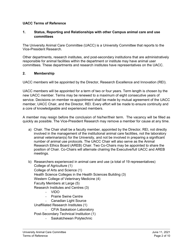### **UACC Terms of Reference**

### **1. Status, Reporting and Relationships with other Campus animal care and use committees**

The University Animal Care Committee (UACC) is a University Committee that reports to the Vice-President Research.

Other departments, research institutes, and post-secondary institutions that are administratively responsible for animal facilities within the department or institute may have animal user committees. These departments and research institutes have representatives on the UACC.

### **2. Membership**

UACC members will be appointed by the Director, Research Excellence and Innovation (REI).

UACC members will be appointed for a term of two or four years. Term length is chosen by the new UACC member. Terms may be renewed to a maximum of eight consecutive years of service. Decisions on member re-appointment shall be made by mutual agreement of the UACC member, UACC Chair, and the Director, REI. Every effort will be made to ensure continuity and a core of knowledgeable and experienced members.

A member may resign before the conclusion of his/her/their term. The vacancy will be filled as quickly as possible. The Vice-President Research may remove a member for cause at any time.

- a) Chair. The Chair shall be a faculty member, appointed by the Director, REI, not directly involved in the management of the institutional animal care facilities, not the laboratory animal veterinarian(s) for the University, and not be involved in preparing a significant number of animal use protocols. The UACC Chair will also serve as the Animal Research Ethics Board (AREB) Chair. Two Co-Chairs may be appointed to share the position of Chair. Co-Chairs will alternate chairing the Executive/full UACC and AREB meetings.
- b) Researchers experienced in animal care and use (a total of 19 representatives) College of Agriculture (1) College of Arts and Science (1) Health Science Colleges in the Health Sciences Building (3) Western College of Veterinary Medicine (4)
	- Faculty Members at Large (5) Research Institutes and Centres (3)
		- VIDO
		- Prairie Swine Centre
		- Canadian Light Source
	- Unaffiliated Research Institutes (1)
		- CFIA Saskatoon Laboratory
	- Post-Secondary Technical Institution (1)
		- Saskatchewan Polytechnic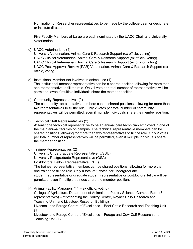Nomination of Researcher representatives to be made by the college dean or designate or institute director.

Five Faculty Members at Large are each nominated by the UACC Chair and University Veterinarian.

c) UACC Veterinarians (4)

University Veterinarian, Animal Care & Research Support (ex officio, voting) UACC Clinical Veterinarian, Animal Care & Research Support (ex officio, voting) UACC Clinical Veterinarian, Animal Care & Research Support (ex officio, voting) UACC Post-Approval Review (PAR) Veterinarian, Animal Care & Research Support (ex officio, voting)

d) Institutional Member not involved in animal use (1)

The institutional member representative can be a shared position, allowing for more than one representative to fill the role. Only 1 vote per total number of representatives will be permitted, even if multiple individuals share the member position.

- e) Community Representatives (2) The community representative members can be shared positions, allowing for more than two representatives to fill the role. Only 2 votes per total number of community representatives will be permitted, even if multiple individuals share the member position.
- f) Technical Staff Representatives (2) At least one technical representative to be an animal care technician employed in one of the main animal facilities on campus. The technical representative members can be shared positions, allowing for more than two representatives to fill the role. Only 2 votes per total number of representatives will be permitted, even if multiple individuals share the member position.
- g) Trainee Representatives (2) University Undergraduate Representative (USSU) University Postgraduate Representative (GSA) Postdoctoral Fellow Representative (PDF) The trainee representative members can be shared positions, allowing for more than one trainee to fill the role. Only a total of 2 votes per undergraduate student representative or graduate student representative or postdoctoral fellow will be permitted, even if multiple trainees share the member position.
- k) Animal Facility Managers (11 ex officio, voting) College of Agriculture, Department of Animal and Poultry Science, Campus Farm (3 representatives) – representing the Poultry Centre, Rayner Dairy Research and Teaching Unit, and Livestock Research Building)

Livestock and Forage Centre of Excellence – Beef Cattle Research and Teaching Unit (1)

Livestock and Forage Centre of Excellence – Forage and Cow-Calf Research and Teaching Unit (1)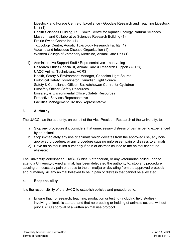Livestock and Forage Centre of Excellence - Goodale Research and Teaching Livestock Unit (1) Health Sciences Building, RJF Smith Centre for Aquatic Ecology, Natural Sciences Museum, and Collaborative Sciences Research Building (1) Prairie Swine Center Inc. (1) Toxicology Centre, Aquatic Toxicology Research Facility (1) Vaccine and Infectious Disease Organization (1) Western College of Veterinary Medicine, Animal Care Unit (1)

l) Administrative Support Staff / Representatives – non-voting Research Ethics Specialist, Animal Care & Research Support (ACRS) UACC Animal Technicians, ACRS Health, Safety & Environment Manager, Canadian Light Source Biological Safety Coordinator, Canadian Light Source Safety & Compliance Officer, Saskatchewan Centre for Cyclotron Biosafety Officer, Safety Resources Biosafety & Environmental Officer, Safety Resources Protective Services Representative Facilities Management Division Representative

# **3. Authority**.

The UACC has the authority, on behalf of the Vice-President Research of the University, to:

- a) Stop any procedure if it considers that unnecessary distress or pain is being experienced by an animal;
- b) Stop immediately any use of animals which deviates from the approved use, any nonapproved procedure, or any procedure causing unforeseen pain or distress to animals;
- c) Have an animal killed humanely if pain or distress caused to the animal cannot be alleviated.

The University Veterinarian, UACC Clinical Veterinarian, or any veterinarian called upon to attend a University-owned animal, has been delegated the authority to: stop any procedure causing unnecessary pain or stress to the animal(s) or deviating from the approved protocol; and humanely kill any animal believed to be in pain or distress that cannot be alleviated.

# **4. Responsibility**.

It is the responsibility of the UACC to establish policies and procedures to:

a) Ensure that no research, teaching, production or testing (including field studies), involving animals is started, and that no breeding or holding of animals occurs, without prior UACC approval of a written animal use protocol.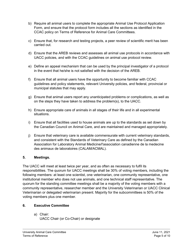- b) Require all animal users to complete the appropriate Animal Use Protocol Application Form, and ensure that the protocol form includes all the sections as identified in the CCAC policy on Terms of Reference for Animal Care Committees.
- c) Ensure that, for research and testing projects, a peer review of scientific merit has been carried out.
- d) Ensure that the AREB reviews and assesses all animal use protocols in accordance with UACC policies, and with the CCAC guidelines on animal use protocol review.
- e) Define an appeal mechanism that can be used by the principal investigator of a protocol in the event that he/she is not satisfied with the decision of the AREB.
- f) Ensure that all animal users have the opportunity to become familiar with CCAC guidelines and policy statements, relevant University policies, and federal, provincial or municipal statutes that may apply.
- g) Ensure that animal users report any unanticipated problems or complications, as well as on the steps they have taken to address the problem(s), to the UACC.
- h) Ensure appropriate care of animals in all stages of their life and in all experimental situations.
- i) Ensure that all facilities used to house animals are up to the standards as set down by the Canadian Council on Animal Care, and are maintained and managed appropriately.
- j) Ensure that veterinary care is available commensurate with current veterinary standards, and consistent with the Standards of Veterinary Care as defined by the Canadian Association for Laboratory Animal Medicine/l'association canadienne de la medecine des animaux de laboratoires (CALAM/ACMAL).

# **5. Meetings.**

The UACC will meet at least twice per year, and as often as necessary to fulfil its responsibilities. The quorum for UACC meetings shall be 30% of voting members, including the following members: at least one scientist, one veterinarian, one community representative, one institutional member who does not use animals, and one technical staff representative. The quorum for the standing committee meetings shall be a majority of the voting members with a community representative, researcher member and the University Veterinarian or UACC Clinical Veterinarian or delegated veterinarian present. Majority for the subcommittees is 50% of the voting members plus one member.

# **6. Executive Committee**

a) Chair: UACC Chair (or Co-Chair) or designate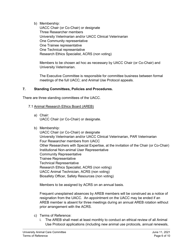b) Membership:

UACC Chair (or Co-Chair) or designate Three Researcher members University Veterinarian and/or UACC Clinical Veterinarian One Community representative One Trainee representative One Technical representative Research Ethics Specialist, ACRS (non voting)

Members to be chosen ad hoc as necessary by UACC Chair (or Co-Chair) and University Veterinarian.

The Executive Committee is responsible for committee business between formal meetings of the full UACC; and Animal Use Protocol appeals.

### **7. Standing Committees, Policies and Procedures.**

There are three standing committees of the UACC.

#### 7.1 Animal Research Ethics Board (AREB)

- a) Chair: UACC Chair (or Co-Chair) or designate.
- b) Membership:

UACC Chair (or Co-Chair) or designate University Veterinarian and/or UACC Clinical Veterinarian, PAR Veterinarian Four Researcher members from UACC Other Researchers with Special Expertise, at the invitation of the Chair (or Co-Chair) Institutional Non-animal User Representative Community Representative Trainee Representative Technical Representative Research Ethics Specialist, ACRS (non voting) UACC Animal Technician, ACRS (non voting) Biosafety Officer, Safety Resources (non voting)

Members to be assigned by ACRS on an annual basis.

Frequent unexplained absences by AREB members will be construed as a notice of resignation from the UACC. An appointment on the UACC may be ended if an AREB member is absent for three meetings during an annual AREB rotation without prior arrangement with the ACRS.

- c) Terms of Reference:
	- i. The AREB shall meet at least monthly to conduct an ethical review of all Animal Use Protocol applications (including new animal use protocols, annual renewals,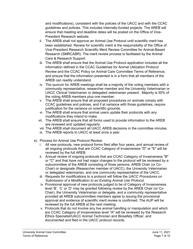and modifications), consistent with the policies of the UACC and with the CCAC guidelines and policies. This includes internally-funded projects. The AREB will ensure that meeting and deadline dates will be posted on the Office of Vice-President Research website.

- ii. The AREB shall not approve an Animal Use Protocol until scientific merit has been established. Review for scientific merit is the responsibility of the Office of Vice-President Research Scientific Merit Review Committee for Animal-Based Research (SMRCABR). The merit review process is facilitated by the Animal Care & Research Support.
- iii. The AREB shall ensure that the Animal Use Protocol application includes all the information defined in the CCAC Guidelines for Animal Utilization Protocol Review and the CCAC Policy on Animal Care Committee Terms of Reference, and ensure that the information presented is in a form that all members of the AREB can readily understand.
- iv. The quorum for AREB meetings shall be a majority of the voting members with a community representative, researcher member and the University Veterinarian or UACC Clinical Veterinarian or delegated veterinarian present. Majority is 50% of the voting AREB members plus one member.
- v. The AREB shall ensure that all proposed procedures on animals comply with CCAC guidelines and policies, and if at variance with those guidelines, require justification for the variance on scientific grounds.
- vi. The AREB shall ensure that animal users update their protocols with any modifications they intend to make.
- vii. The AREB shall ensure that all forms used to provide information to the AREB are reviewed and updated regularly.
- viii. The AREB shall document all UACC AREB decisions in the committee minutes.
- ix. The AREB reports to UACC at least once a year.
- e) Process for Animal Use Protocol Review:
	- i. All new protocols, new protocol forms filed after four years, and annual review of all ongoing protocols that are CCAC Category of Invasiveness "D" or "E" will be reviewed by the full AREB.
	- ii. Annual review of ongoing protocols that are CCAC Category of Invasiveness "B" or "C" and that have not had major changes to the protocol will be reviewed by a subcommittee of the AREB consisting of three persons; AREB Chair (or Co-Chair) or designate (Researcher member of UACC), the University Veterinarian or delegated veterinarian, and one community representative of the UACC.
	- iii. Requests for modifications to a protocol will follow the *UACC Procedures on Submission of a Modification to an Existing Animal Use Protocol.*
	- iv. Provisional approval of new protocols judged to be of Category of Invasiveness level 'B', 'C' or 'D' may be granted following review by the AREB Chair (or Co-Chair), the University Veterinarian or delegate, and a community representative provided all AREB subcommittee members agree to issuing the provisional approval and evidence of scientific merit review is confirmed. The AUP will be reviewed by the full AREB at the next meeting.
	- v. Protocols that do not involve any live animal handling or manipulation and which are CCAC Category of Invasiveness level "A" will be reviewed by the Research Ethics Specialist/UACC Animal Technician and Biosafety Officer, and documented and filed in the UACC protocol records.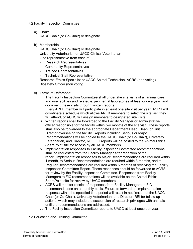### 7.2 Facility Inspection Committee

a) Chair:

UACC Chair (or Co-Chair) or designate

b) Membership:

UACC Chair (or Co-Chair) or designate University Veterinarian or UACC Clinical Veterinarian One representative from each of:

- Research Representatives
- Community Representatives
- Trainee Representatives
- Technical Staff Representative

Research Ethics Specialist or UACC Animal Technician, ACRS (non voting) Biosafety Officer (non voting)

- c) Terms of Reference:
	- i. The Facility Inspection Committee shall undertake site visits of all animal care and use facilities and related experimental laboratories at least once a year, and document these visits through written reports.
	- ii. Every AREB member will participate in at least one site visit per year. ACRS will coordinate a schedule which allows AREB members to select the site visit they will attend, or ACRS will assign members to designated site visits.
	- iii. Written reports shall be forwarded to the Facility Manager or administrative officer responsible for the facility within two months of the site visit. These reports shall also be forwarded to the appropriate Department Head, Dean, or Unit Director overseeing the facility. Reports including Serious or Major Recommendations will be copied to the UACC Chair (or Co-Chair), University Veterinarian, and Director, REI. FIC reports will be posted to the Animal Ethics SharePoint site for access by all UACC members.
	- iv. Implementation responses to Facility Inspection Committee recommendations shall be requested from the Facility Manager after reception of the report. Implementation responses to Major Recommendations are required within 1 month, to Serious Recommendations are required within 3 months, and to Regular Recommendations are required within 6 months of receiving the Facility Inspection Committee Report. These responses should be forwarded to ACRS for review by the Facility Inspection Committee. Responses from Facility Managers to FIC recommendations will be available on the Animal Ethics SharePoint site for review by UACC members.
	- v. ACRS will monitor receipt of responses from Facility Managers to FIC recommendations on a monthly basis. Failure to forward an implementation response within the specified time period will result in notification of the UACC Chair (or Co-Chair), University Veterinarian, and Director, REI for follow-up actions, which may include the suspension of research privileges with animals until the recommendations are addressed.
	- vi. The Facility Inspection Committee reports to UACC at least once per year.

### 7.3 Education and Training Committee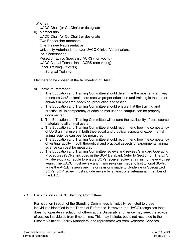a) Chair:

- UACC Chair (or Co-Chair) or designate
- b) Membership:

UACC Chair (or Co-Chair) or designate Two Researcher members One Trainee Representative University Veterinarian and/or UACC Clinical Veterinarians PAR Veterinarian Research Ethics Specialist, ACRS (non voting) UACC Animal Technicians, ACRS (non voting) Other Training Officer(s)

- Surgical Training

Members to be chosen at the fall meeting of UACC.

- c) Terms of Reference:
	- i. The Education and Training Committee should determine the most efficient way to ensure UofS animal users receive proper education and training in the use of animals in research, teaching, production and testing.
	- ii. The Education and Training Committee should ensure that the training and practical skills competency of each animal user on campus can be properly documented.
	- iii. The Education and Training Committee will ensure the availability of core course materials to all animal users.
	- iv. The Education and Training Committee should recommend how the competency of UofS animal users in both theoretical and practical aspects of experimental animal science can best be measured.
	- v. The Education and Training Committee should recommend how the competency of visiting faculty in both theoretical and practical aspects of experimental animal science can best be measured.
	- vi. The Education and Training Committee reviews and revises Standard Operating Procedures (SOPs) included in the SOP Databank (refer to Section 8). The ETC will develop a schedule to ensure SOPs receive review at a minimum every three years. The UACC must review any major revisions made to Institutional SOPs, while the AREB reviews any major revisions made to Guideline or Specialized SOPs. SOP review must include review by at least one veterinarian member of the ETC.

### 7.4 Participation in UACC Standing Committees

Participation in each of the Standing Committees is typically restricted to those individuals identified in the Terms of Reference. However, the UACC recognizes that it does not operate in isolation of others at the University and hence may seek the advice of outside individuals from time to time. This may include, but is not restricted to the Biosafety Officer, Facility Managers, and representatives from Research Services,